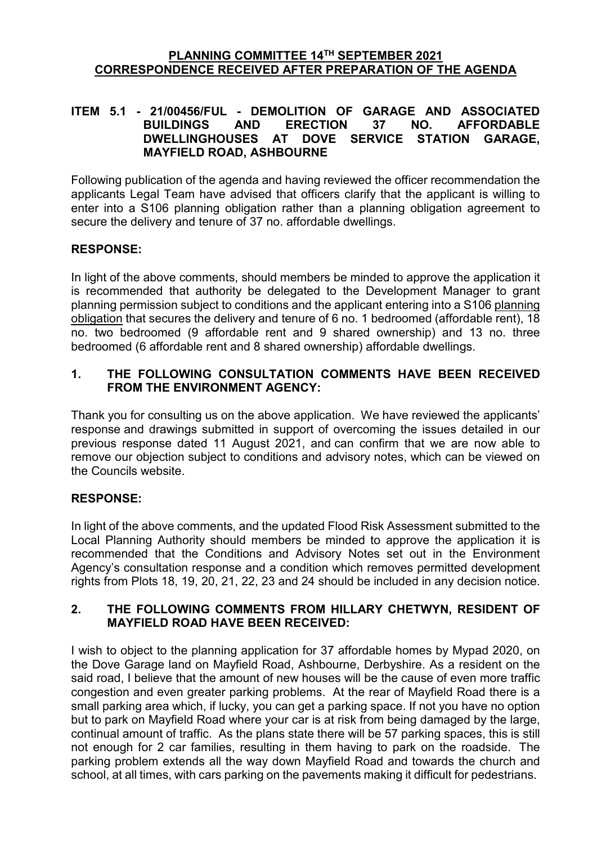#### **PLANNING COMMITTEE 14TH SEPTEMBER 2021 CORRESPONDENCE RECEIVED AFTER PREPARATION OF THE AGENDA**

### **ITEM 5.1 - 21/00456/FUL - DEMOLITION OF GARAGE AND ASSOCIATED BUILDINGS AND ERECTION 37 NO. AFFORDABLE**  DOVE SERVICE STATION GARAGE. **MAYFIELD ROAD, ASHBOURNE**

Following publication of the agenda and having reviewed the officer recommendation the applicants Legal Team have advised that officers clarify that the applicant is willing to enter into a S106 planning obligation rather than a planning obligation agreement to secure the delivery and tenure of 37 no. affordable dwellings.

### **RESPONSE:**

In light of the above comments, should members be minded to approve the application it is recommended that authority be delegated to the Development Manager to grant planning permission subject to conditions and the applicant entering into a S106 planning obligation that secures the delivery and tenure of 6 no. 1 bedroomed (affordable rent), 18 no. two bedroomed (9 affordable rent and 9 shared ownership) and 13 no. three bedroomed (6 affordable rent and 8 shared ownership) affordable dwellings.

### **1. THE FOLLOWING CONSULTATION COMMENTS HAVE BEEN RECEIVED FROM THE ENVIRONMENT AGENCY:**

Thank you for consulting us on the above application. We have reviewed the applicants' response and drawings submitted in support of overcoming the issues detailed in our previous response dated 11 August 2021, and can confirm that we are now able to remove our objection subject to conditions and advisory notes, which can be viewed on the Councils website.

# **RESPONSE:**

In light of the above comments, and the updated Flood Risk Assessment submitted to the Local Planning Authority should members be minded to approve the application it is recommended that the Conditions and Advisory Notes set out in the Environment Agency's consultation response and a condition which removes permitted development rights from Plots 18, 19, 20, 21, 22, 23 and 24 should be included in any decision notice.

### **2. THE FOLLOWING COMMENTS FROM HILLARY CHETWYN, RESIDENT OF MAYFIELD ROAD HAVE BEEN RECEIVED:**

I wish to object to the planning application for 37 affordable homes by Mypad 2020, on the Dove Garage land on Mayfield Road, Ashbourne, Derbyshire. As a resident on the said road, I believe that the amount of new houses will be the cause of even more traffic congestion and even greater parking problems. At the rear of Mayfield Road there is a small parking area which, if lucky, you can get a parking space. If not you have no option but to park on Mayfield Road where your car is at risk from being damaged by the large, continual amount of traffic. As the plans state there will be 57 parking spaces, this is still not enough for 2 car families, resulting in them having to park on the roadside. The parking problem extends all the way down Mayfield Road and towards the church and school, at all times, with cars parking on the pavements making it difficult for pedestrians.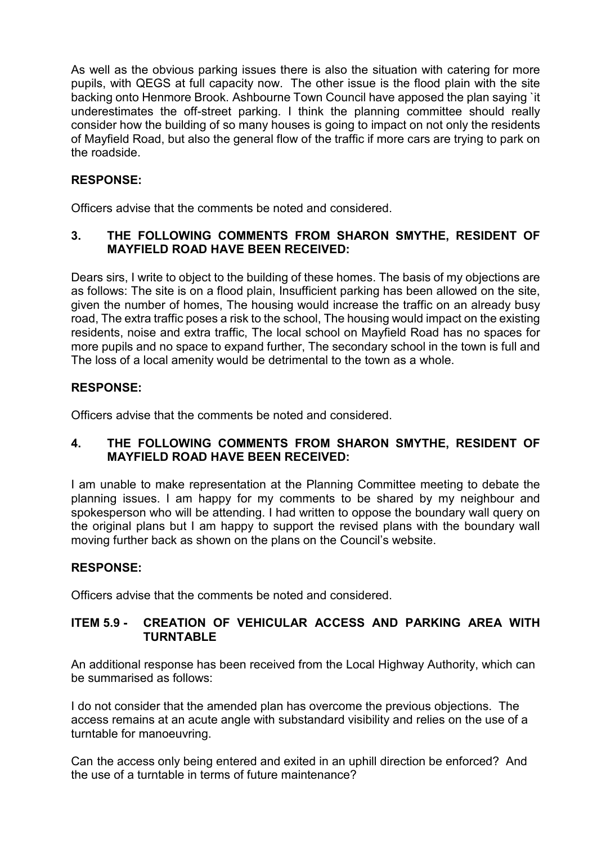As well as the obvious parking issues there is also the situation with catering for more pupils, with QEGS at full capacity now. The other issue is the flood plain with the site backing onto Henmore Brook. Ashbourne Town Council have apposed the plan saying `it underestimates the off-street parking. I think the planning committee should really consider how the building of so many houses is going to impact on not only the residents of Mayfield Road, but also the general flow of the traffic if more cars are trying to park on the roadside.

## **RESPONSE:**

Officers advise that the comments be noted and considered.

# **3. THE FOLLOWING COMMENTS FROM SHARON SMYTHE, RESIDENT OF MAYFIELD ROAD HAVE BEEN RECEIVED:**

Dears sirs, I write to object to the building of these homes. The basis of my objections are as follows: The site is on a flood plain, Insufficient parking has been allowed on the site, given the number of homes, The housing would increase the traffic on an already busy road, The extra traffic poses a risk to the school, The housing would impact on the existing residents, noise and extra traffic, The local school on Mayfield Road has no spaces for more pupils and no space to expand further, The secondary school in the town is full and The loss of a local amenity would be detrimental to the town as a whole.

## **RESPONSE:**

Officers advise that the comments be noted and considered.

## **4. THE FOLLOWING COMMENTS FROM SHARON SMYTHE, RESIDENT OF MAYFIELD ROAD HAVE BEEN RECEIVED:**

I am unable to make representation at the Planning Committee meeting to debate the planning issues. I am happy for my comments to be shared by my neighbour and spokesperson who will be attending. I had written to oppose the boundary wall query on the original plans but I am happy to support the revised plans with the boundary wall moving further back as shown on the plans on the Council's website.

### **RESPONSE:**

Officers advise that the comments be noted and considered.

## **ITEM 5.9 - CREATION OF VEHICULAR ACCESS AND PARKING AREA WITH TURNTABLE**

An additional response has been received from the Local Highway Authority, which can be summarised as follows:

I do not consider that the amended plan has overcome the previous objections. The access remains at an acute angle with substandard visibility and relies on the use of a turntable for manoeuvring.

Can the access only being entered and exited in an uphill direction be enforced? And the use of a turntable in terms of future maintenance?